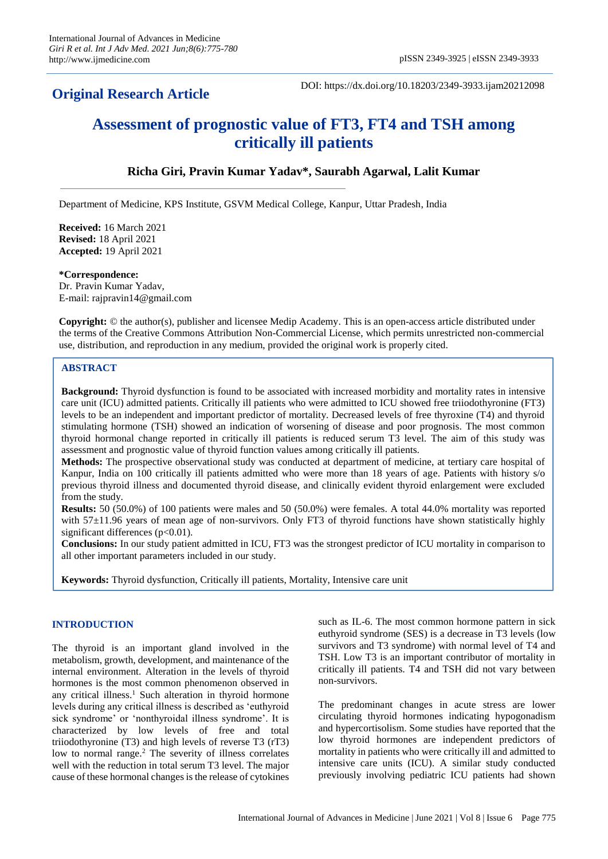# **Original Research Article**

DOI: https://dx.doi.org/10.18203/2349-3933.ijam20212098

# **Assessment of prognostic value of FT3, FT4 and TSH among critically ill patients**

# **Richa Giri, Pravin Kumar Yadav\*, Saurabh Agarwal, Lalit Kumar**

Department of Medicine, KPS Institute, GSVM Medical College, Kanpur, Uttar Pradesh, India

**Received:** 16 March 2021 **Revised:** 18 April 2021 **Accepted:** 19 April 2021

#### **\*Correspondence:**

Dr. Pravin Kumar Yadav, E-mail: rajpravin14@gmail.com

**Copyright:** © the author(s), publisher and licensee Medip Academy. This is an open-access article distributed under the terms of the Creative Commons Attribution Non-Commercial License, which permits unrestricted non-commercial use, distribution, and reproduction in any medium, provided the original work is properly cited.

#### **ABSTRACT**

**Background:** Thyroid dysfunction is found to be associated with increased morbidity and mortality rates in intensive care unit (ICU) admitted patients. Critically ill patients who were admitted to ICU showed free triiodothyronine (FT3) levels to be an independent and important predictor of mortality. Decreased levels of free thyroxine (T4) and thyroid stimulating hormone (TSH) showed an indication of worsening of disease and poor prognosis. The most common thyroid hormonal change reported in critically ill patients is reduced serum T3 level. The aim of this study was assessment and prognostic value of thyroid function values among critically ill patients.

**Methods:** The prospective observational study was conducted at department of medicine, at tertiary care hospital of Kanpur, India on 100 critically ill patients admitted who were more than 18 years of age. Patients with history s/o previous thyroid illness and documented thyroid disease, and clinically evident thyroid enlargement were excluded from the study.

**Results:** 50 (50.0%) of 100 patients were males and 50 (50.0%) were females. A total 44.0% mortality was reported with 57 $\pm$ 11.96 years of mean age of non-survivors. Only FT3 of thyroid functions have shown statistically highly significant differences  $(p<0.01)$ .

**Conclusions:** In our study patient admitted in ICU, FT3 was the strongest predictor of ICU mortality in comparison to all other important parameters included in our study.

**Keywords:** Thyroid dysfunction, Critically ill patients, Mortality, Intensive care unit

### **INTRODUCTION**

The thyroid is an important gland involved in the metabolism, growth, development, and maintenance of the internal environment. Alteration in the levels of thyroid hormones is the most common phenomenon observed in any critical illness.<sup>1</sup> Such alteration in thyroid hormone levels during any critical illness is described as 'euthyroid sick syndrome' or 'nonthyroidal illness syndrome'. It is characterized by low levels of free and total triiodothyronine (T3) and high levels of reverse T3 (rT3) low to normal range.<sup>2</sup> The severity of illness correlates well with the reduction in total serum T3 level. The major cause of these hormonal changes is the release of cytokines such as IL-6. The most common hormone pattern in sick euthyroid syndrome (SES) is a decrease in T3 levels (low survivors and T3 syndrome) with normal level of T4 and TSH. Low T3 is an important contributor of mortality in critically ill patients. T4 and TSH did not vary between non-survivors.

The predominant changes in acute stress are lower circulating thyroid hormones indicating hypogonadism and hypercortisolism. Some studies have reported that the low thyroid hormones are independent predictors of mortality in patients who were critically ill and admitted to intensive care units (ICU). A similar study conducted previously involving pediatric ICU patients had shown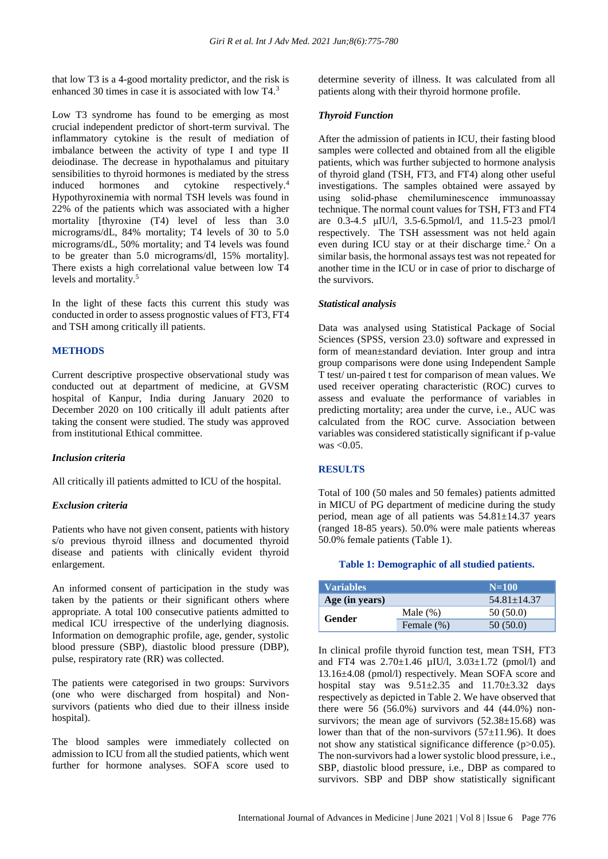that low T3 is a 4-good mortality predictor, and the risk is enhanced 30 times in case it is associated with low T4.<sup>3</sup>

Low T3 syndrome has found to be emerging as most crucial independent predictor of short-term survival. The inflammatory cytokine is the result of mediation of imbalance between the activity of type I and type II deiodinase. The decrease in hypothalamus and pituitary sensibilities to thyroid hormones is mediated by the stress induced hormones and cytokine respectively.<sup>4</sup> Hypothyroxinemia with normal TSH levels was found in 22% of the patients which was associated with a higher mortality [thyroxine (T4) level of less than 3.0 micrograms/dL, 84% mortality; T4 levels of 30 to 5.0 micrograms/dL, 50% mortality; and T4 levels was found to be greater than 5.0 micrograms/dl, 15% mortality]. There exists a high correlational value between low T4 levels and mortality.<sup>5</sup>

In the light of these facts this current this study was conducted in order to assess prognostic values of FT3, FT4 and TSH among critically ill patients.

#### **METHODS**

Current descriptive prospective observational study was conducted out at department of medicine, at GVSM hospital of Kanpur, India during January 2020 to December 2020 on 100 critically ill adult patients after taking the consent were studied. The study was approved from institutional Ethical committee.

#### *Inclusion criteria*

All critically ill patients admitted to ICU of the hospital.

#### *Exclusion criteria*

Patients who have not given consent, patients with history s/o previous thyroid illness and documented thyroid disease and patients with clinically evident thyroid enlargement.

An informed consent of participation in the study was taken by the patients or their significant others where appropriate. A total 100 consecutive patients admitted to medical ICU irrespective of the underlying diagnosis. Information on demographic profile, age, gender, systolic blood pressure (SBP), diastolic blood pressure (DBP), pulse, respiratory rate (RR) was collected.

The patients were categorised in two groups: Survivors (one who were discharged from hospital) and Nonsurvivors (patients who died due to their illness inside hospital).

The blood samples were immediately collected on admission to ICU from all the studied patients, which went further for hormone analyses. SOFA score used to determine severity of illness. It was calculated from all patients along with their thyroid hormone profile.

#### *Thyroid Function*

After the admission of patients in ICU, their fasting blood samples were collected and obtained from all the eligible patients, which was further subjected to hormone analysis of thyroid gland (TSH, FT3, and FT4) along other useful investigations. The samples obtained were assayed by using solid‑phase chemiluminescence immunoassay technique. The normal count values for TSH, FT3 and FT4 are 0.3-4.5 μIU/l, 3.5-6.5pmol/l, and 11.5-23 pmol/l respectively. The TSH assessment was not held again even during ICU stay or at their discharge time.<sup>2</sup> On a similar basis, the hormonal assays test was not repeated for another time in the ICU or in case of prior to discharge of the survivors.

#### *Statistical analysis*

Data was analysed using Statistical Package of Social Sciences (SPSS, version 23.0) software and expressed in form of mean±standard deviation. Inter group and intra group comparisons were done using Independent Sample T test/ un-paired t test for comparison of mean values. We used receiver operating characteristic (ROC) curves to assess and evaluate the performance of variables in predicting mortality; area under the curve, i.e., AUC was calculated from the ROC curve. Association between variables was considered statistically significant if p-value was  $< 0.05$ .

#### **RESULTS**

Total of 100 (50 males and 50 females) patients admitted in MICU of PG department of medicine during the study period, mean age of all patients was 54.81±14.37 years (ranged 18-85 years). 50.0% were male patients whereas 50.0% female patients (Table 1).

#### **Table 1: Demographic of all studied patients.**

| <b>Variables</b> |               | $N=100$           |
|------------------|---------------|-------------------|
| Age (in years)   |               | $54.81 \pm 14.37$ |
| Gender           | Male $(\%)$   | 50(50.0)          |
|                  | Female $(\%)$ | 50(50.0)          |

In clinical profile thyroid function test, mean TSH, FT3 and FT4 was  $2.70 \pm 1.46$  µIU/l,  $3.03 \pm 1.72$  (pmol/l) and 13.16±4.08 (pmol/l) respectively. Mean SOFA score and hospital stay was  $9.51 \pm 2.35$  and  $11.70 \pm 3.32$  days respectively as depicted in Table 2. We have observed that there were 56  $(56.0\%)$  survivors and 44  $(44.0\%)$  nonsurvivors; the mean age of survivors  $(52.38 \pm 15.68)$  was lower than that of the non-survivors  $(57\pm11.96)$ . It does not show any statistical significance difference (p>0.05). The non-survivors had a lower systolic blood pressure, i.e., SBP, diastolic blood pressure, i.e., DBP as compared to survivors. SBP and DBP show statistically significant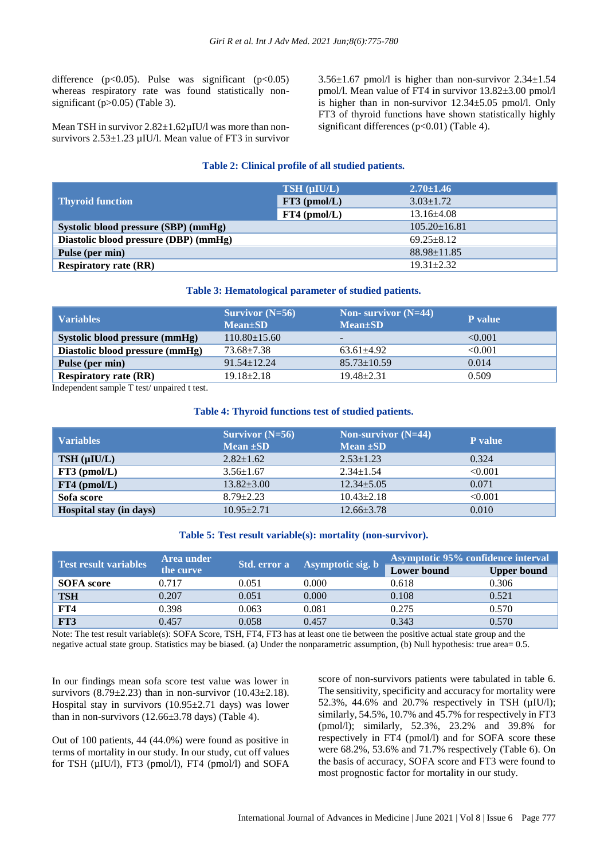difference ( $p<0.05$ ). Pulse was significant ( $p<0.05$ ) whereas respiratory rate was found statistically nonsignificant (p>0.05) (Table 3).

Mean TSH in survivor  $2.82 \pm 1.62 \mu$ IU/l was more than nonsurvivors 2.53±1.23 µIU/l. Mean value of FT3 in survivor  $3.56\pm1.67$  pmol/l is higher than non-survivor  $2.34\pm1.54$ pmol/l. Mean value of FT4 in survivor 13.82±3.00 pmol/l is higher than in non-survivor  $12.34 \pm 5.05$  pmol/l. Only FT3 of thyroid functions have shown statistically highly significant differences (p<0.01) (Table 4).

#### **Table 2: Clinical profile of all studied patients.**

|                                       | TSH (µIU/L)    | $2.70 \pm 1.46$    |
|---------------------------------------|----------------|--------------------|
| <b>Thyroid function</b>               | FT3 (pmol/L)   | $3.03 \pm 1.72$    |
|                                       | $FT4$ (pmol/L) | $13.16\pm4.08$     |
| Systolic blood pressure (SBP) (mmHg)  |                | $105.20 \pm 16.81$ |
| Diastolic blood pressure (DBP) (mmHg) |                | $69.25 + 8.12$     |
| Pulse (per min)                       |                | $88.98 \pm 11.85$  |
| <b>Respiratory rate (RR)</b>          |                | $19.31 + 2.32$     |

#### **Table 3: Hematological parameter of studied patients.**

| Variables                       | $Survivor(N=56)$<br>$Mean \pm SD$ | Non- survivor $(N=44)$<br>$Mean \pm SD$ | P value |
|---------------------------------|-----------------------------------|-----------------------------------------|---------|
| Systolic blood pressure (mmHg)  | $110.80 \pm 15.60$                |                                         | < 0.001 |
| Diastolic blood pressure (mmHg) | 73.68±7.38                        | $63.61 + 4.92$                          | < 0.001 |
| Pulse (per min)                 | $91.54 \pm 12.24$                 | $85.73 \pm 10.59$                       | 0.014   |
| <b>Respiratory rate (RR)</b>    | $19.18 \pm 2.18$                  | $19.48 \pm 2.31$                        | 0.509   |

Independent sample T test/ unpaired t test.

#### **Table 4: Thyroid functions test of studied patients.**

| <b>Variables</b>        | Survivor $(N=56)$<br>Mean $\pm SD$ | Non-survivor $(N=44)$<br>Mean $\pm SD$ | <b>P</b> value |
|-------------------------|------------------------------------|----------------------------------------|----------------|
| TSH (µIU/L)             | $2.82 \pm 1.62$                    | $2.53 \pm 1.23$                        | 0.324          |
| $FT3$ (pmol/L)          | $3.56 \pm 1.67$                    | $2.34 \pm 1.54$                        | < 0.001        |
| $FT4$ (pmol/L)          | $13.82 \pm 3.00$                   | $12.34 \pm 5.05$                       | 0.071          |
| Sofa score              | $8.79 \pm 2.23$                    | $10.43 \pm 2.18$                       | < 0.001        |
| Hospital stay (in days) | $10.95 \pm 2.71$                   | $12.66 \pm 3.78$                       | 0.010          |

#### **Table 5: Test result variable(s): mortality (non-survivor).**

| <b>Test result variables</b> | Area under |       | Std. error a Asymptotic sig. b | Asymptotic 95% confidence interval |                    |
|------------------------------|------------|-------|--------------------------------|------------------------------------|--------------------|
|                              | the curve  |       |                                | <b>Lower</b> bound                 | <b>Upper bound</b> |
| <b>SOFA</b> score            | 0.717      | 0.051 | 0.000                          | 0.618                              | 0.306              |
| <b>TSH</b>                   | 0.207      | 0.051 | 0.000                          | 0.108                              | 0.521              |
| FT4                          | 0.398      | 0.063 | 0.081                          | 0.275                              | 0.570              |
| FT3                          | 0.457      | 0.058 | 0.457                          | 0.343                              | 0.570              |

Note: The test result variable(s): SOFA Score, TSH, FT4, FT3 has at least one tie between the positive actual state group and the negative actual state group. Statistics may be biased. (a) Under the nonparametric assumption, (b) Null hypothesis: true area= 0.5.

In our findings mean sofa score test value was lower in survivors  $(8.79 \pm 2.23)$  than in non-survivor  $(10.43 \pm 2.18)$ . Hospital stay in survivors (10.95±2.71 days) was lower than in non-survivors  $(12.66\pm3.78 \text{ days})$  (Table 4).

Out of 100 patients, 44 (44.0%) were found as positive in terms of mortality in our study. In our study, cut off values for TSH (µIU/l), FT3 (pmol/l), FT4 (pmol/l) and SOFA

score of non-survivors patients were tabulated in table 6. The sensitivity, specificity and accuracy for mortality were 52.3%, 44.6% and 20.7% respectively in TSH (µIU/l); similarly, 54.5%, 10.7% and 45.7% for respectively in FT3 (pmol/l); similarly, 52.3%, 23.2% and 39.8% for respectively in FT4 (pmol/l) and for SOFA score these were 68.2%, 53.6% and 71.7% respectively (Table 6). On the basis of accuracy, SOFA score and FT3 were found to most prognostic factor for mortality in our study.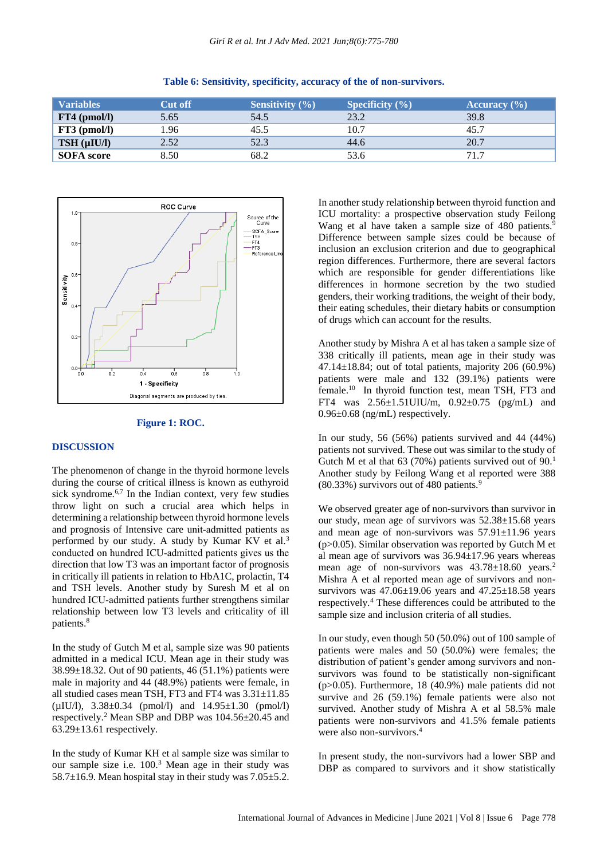| <b>Variables</b>  | <b>Cut off</b> | <b>Sensitivity</b> $(\% )$ | <b>Specificity</b> $(\% )$ | Accuracy $(\% )$ |
|-------------------|----------------|----------------------------|----------------------------|------------------|
| $FT4$ (pmol/l)    | 5.65           | 54.5                       | 23.2                       | 39.8             |
| $FT3$ (pmol/l)    | 1.96           | 45.5                       | 10.7                       | 45.7             |
| TSH (µIU/l)       | 2.52           | 52.3                       | 44.6                       | 20.7             |
| <b>SOFA</b> score | 8.50           | 68.2                       | 53.6                       | 71.7             |

#### **Table 6: Sensitivity, specificity, accuracy of the of non-survivors.**



#### **Figure 1: ROC.**

#### **DISCUSSION**

The phenomenon of change in the thyroid hormone levels during the course of critical illness is known as euthyroid sick syndrome.<sup>6,7</sup> In the Indian context, very few studies throw light on such a crucial area which helps in determining a relationship between thyroid hormone levels and prognosis of Intensive care unit‑admitted patients as performed by our study. A study by Kumar KV et al.<sup>3</sup> conducted on hundred ICU‑admitted patients gives us the direction that low T3 was an important factor of prognosis in critically ill patients in relation to HbA1C, prolactin, T4 and TSH levels. Another study by Suresh M et al on hundred ICU‑admitted patients further strengthens similar relationship between low T3 levels and criticality of ill patients.<sup>8</sup>

In the study of Gutch M et al, sample size was 90 patients admitted in a medical ICU. Mean age in their study was 38.99±18.32. Out of 90 patients, 46 (51.1%) patients were male in majority and 44 (48.9%) patients were female, in all studied cases mean TSH, FT3 and FT4 was 3.31±11.85 (µIU/l), 3.38±0.34 (pmol/l) and 14.95±1.30 (pmol/l) respectively.<sup>2</sup> Mean SBP and DBP was 104.56±20.45 and  $63.29 \pm 13.61$  respectively.

In the study of Kumar KH et al sample size was similar to our sample size i.e. 100.<sup>3</sup> Mean age in their study was 58.7 $\pm$ 16.9. Mean hospital stay in their study was 7.05 $\pm$ 5.2. In another study relationship between thyroid function and ICU mortality: a prospective observation study Feilong Wang et al have taken a sample size of 480 patients.<sup>9</sup> Difference between sample sizes could be because of inclusion an exclusion criterion and due to geographical region differences. Furthermore, there are several factors which are responsible for gender differentiations like differences in hormone secretion by the two studied genders, their working traditions, the weight of their body, their eating schedules, their dietary habits or consumption of drugs which can account for the results.

Another study by Mishra A et al has taken a sample size of 338 critically ill patients, mean age in their study was  $47.14\pm18.84$ ; out of total patients, majority 206 (60.9%) patients were male and 132 (39.1%) patients were female.<sup>10</sup> In thyroid function test, mean TSH, FT3 and FT4 was 2.56±1.51UIU/m, 0.92±0.75 (pg/mL) and 0.96±0.68 (ng/mL) respectively.

In our study, 56 (56%) patients survived and 44 (44%) patients not survived. These out was similar to the study of Gutch M et al that 63 (70%) patients survived out of  $90<sup>1</sup>$ Another study by Feilong Wang et al reported were 388 (80.33%) survivors out of 480 patients.<sup>9</sup>

We observed greater age of non-survivors than survivor in our study, mean age of survivors was 52.38±15.68 years and mean age of non-survivors was  $57.91 \pm 11.96$  years ( $p > 0.05$ ). Similar observation was reported by Gutch M et al mean age of survivors was  $36.94 \pm 17.96$  years whereas mean age of non-survivors was  $43.78 \pm 18.60$  years.<sup>2</sup> Mishra A et al reported mean age of survivors and nonsurvivors was  $47.06 \pm 19.06$  years and  $47.25 \pm 18.58$  years respectively.<sup>4</sup> These differences could be attributed to the sample size and inclusion criteria of all studies.

In our study, even though 50 (50.0%) out of 100 sample of patients were males and 50 (50.0%) were females; the distribution of patient's gender among survivors and nonsurvivors was found to be statistically non-significant (p>0.05). Furthermore, 18 (40.9%) male patients did not survive and 26 (59.1%) female patients were also not survived. Another study of Mishra A et al 58.5% male patients were non-survivors and 41.5% female patients were also non-survivors.<sup>4</sup>

In present study, the non-survivors had a lower SBP and DBP as compared to survivors and it show statistically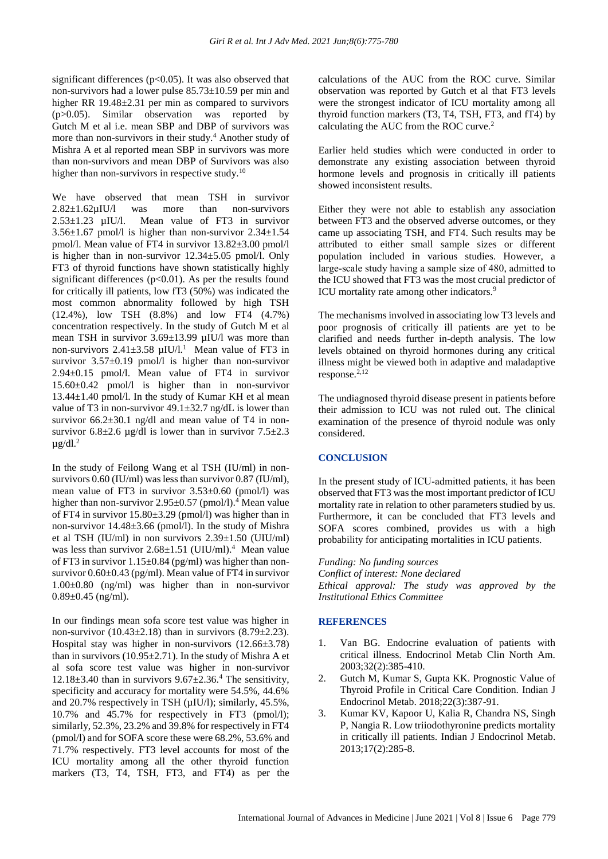significant differences ( $p<0.05$ ). It was also observed that non-survivors had a lower pulse 85.73±10.59 per min and higher RR 19.48 $\pm$ 2.31 per min as compared to survivors (p>0.05). Similar observation was reported by Gutch M et al i.e. mean SBP and DBP of survivors was more than non-survivors in their study.<sup>4</sup> Another study of Mishra A et al reported mean SBP in survivors was more than non-survivors and mean DBP of Survivors was also higher than non-survivors in respective study.<sup>10</sup>

We have observed that mean TSH in survivor  $2.82 \pm 1.62 \mu$ IU/l was more than non-survivors  $2.53 \pm 1.23$   $\mu$ IU/l. Mean value of FT3 in survivor Mean value of FT3 in survivor  $3.56\pm1.67$  pmol/l is higher than non-survivor  $2.34\pm1.54$ pmol/l. Mean value of FT4 in survivor 13.82±3.00 pmol/l is higher than in non-survivor 12.34±5.05 pmol/l. Only FT3 of thyroid functions have shown statistically highly significant differences  $(p<0.01)$ . As per the results found for critically ill patients, low fT3 (50%) was indicated the most common abnormality followed by high TSH (12.4%), low TSH (8.8%) and low FT4 (4.7%) concentration respectively. In the study of Gutch M et al mean TSH in survivor 3.69±13.99 µIU/l was more than non-survivors  $2.41 \pm 3.58 \mu$ IU/l.<sup>1</sup> Mean value of FT3 in survivor  $3.57\pm0.19$  pmol/l is higher than non-survivor 2.94±0.15 pmol/l. Mean value of FT4 in survivor 15.60±0.42 pmol/l is higher than in non-survivor 13.44±1.40 pmol/l. In the study of Kumar KH et al mean value of T3 in non-survivor  $49.1 \pm 32.7$  ng/dL is lower than survivor  $66.2 \pm 30.1$  ng/dl and mean value of T4 in nonsurvivor  $6.8\pm2.6$  µg/dl is lower than in survivor  $7.5\pm2.3$  $\mu$ g/dl.<sup>2</sup>

In the study of Feilong Wang et al TSH (IU/ml) in nonsurvivors 0.60 (IU/ml) was less than survivor 0.87 (IU/ml), mean value of FT3 in survivor 3.53±0.60 (pmol/l) was higher than non-survivor 2.95±0.57 (pmol/l).<sup>4</sup> Mean value of FT4 in survivor 15.80±3.29 (pmol/l) was higher than in non-survivor 14.48±3.66 (pmol/l). In the study of Mishra et al TSH (IU/ml) in non survivors  $2.39 \pm 1.50$  (UIU/ml) was less than survivor  $2.68 \pm 1.51$  (UIU/ml).<sup>4</sup> Mean value of FT3 in survivor  $1.15\pm0.84$  (pg/ml) was higher than nonsurvivor  $0.60\pm0.43$  (pg/ml). Mean value of FT4 in survivor 1.00±0.80 (ng/ml) was higher than in non-survivor  $0.89 \pm 0.45$  (ng/ml).

In our findings mean sofa score test value was higher in non-survivor  $(10.43\pm 2.18)$  than in survivors  $(8.79\pm 2.23)$ . Hospital stay was higher in non-survivors (12.66±3.78) than in survivors  $(10.95 \pm 2.71)$ . In the study of Mishra A et al sofa score test value was higher in non-survivor  $12.18\pm3.40$  than in survivors  $9.67\pm2.36$ .<sup>4</sup> The sensitivity, specificity and accuracy for mortality were 54.5%, 44.6% and 20.7% respectively in TSH ( $\mu$ IU/l); similarly, 45.5%, 10.7% and 45.7% for respectively in FT3 (pmol/l); similarly, 52.3%, 23.2% and 39.8% for respectively in FT4 (pmol/l) and for SOFA score these were 68.2%, 53.6% and 71.7% respectively. FT3 level accounts for most of the ICU mortality among all the other thyroid function markers (T3, T4, TSH, FT3, and FT4) as per the calculations of the AUC from the ROC curve. Similar observation was reported by Gutch et al that FT3 levels were the strongest indicator of ICU mortality among all thyroid function markers (T3, T4, TSH, FT3, and fT4) by calculating the AUC from the ROC curve.<sup>2</sup>

Earlier held studies which were conducted in order to demonstrate any existing association between thyroid hormone levels and prognosis in critically ill patients showed inconsistent results.

Either they were not able to establish any association between FT3 and the observed adverse outcomes, or they came up associating TSH, and FT4. Such results may be attributed to either small sample sizes or different population included in various studies. However, a large‑scale study having a sample size of 480, admitted to the ICU showed that FT3 was the most crucial predictor of ICU mortality rate among other indicators.<sup>9</sup>

The mechanisms involved in associating low T3 levels and poor prognosis of critically ill patients are yet to be clarified and needs further in-depth analysis. The low levels obtained on thyroid hormones during any critical illness might be viewed both in adaptive and maladaptive response. $^{2,12}$ 

The undiagnosed thyroid disease present in patients before their admission to ICU was not ruled out. The clinical examination of the presence of thyroid nodule was only considered.

## **CONCLUSION**

In the present study of ICU-admitted patients, it has been observed that FT3 was the most important predictor of ICU mortality rate in relation to other parameters studied by us. Furthermore, it can be concluded that FT3 levels and SOFA scores combined, provides us with a high probability for anticipating mortalities in ICU patients.

#### *Funding: No funding sources*

*Conflict of interest: None declared Ethical approval: The study was approved by the Institutional Ethics Committee*

#### **REFERENCES**

- 1. Van BG. Endocrine evaluation of patients with critical illness. Endocrinol Metab Clin North Am. 2003;32(2):385-410.
- 2. Gutch M, Kumar S, Gupta KK. Prognostic Value of Thyroid Profile in Critical Care Condition. Indian J Endocrinol Metab. 2018;22(3):387-91.
- 3. Kumar KV, Kapoor U, Kalia R, Chandra NS, Singh P, Nangia R. Low triiodothyronine predicts mortality in critically ill patients. Indian J Endocrinol Metab. 2013;17(2):285-8.